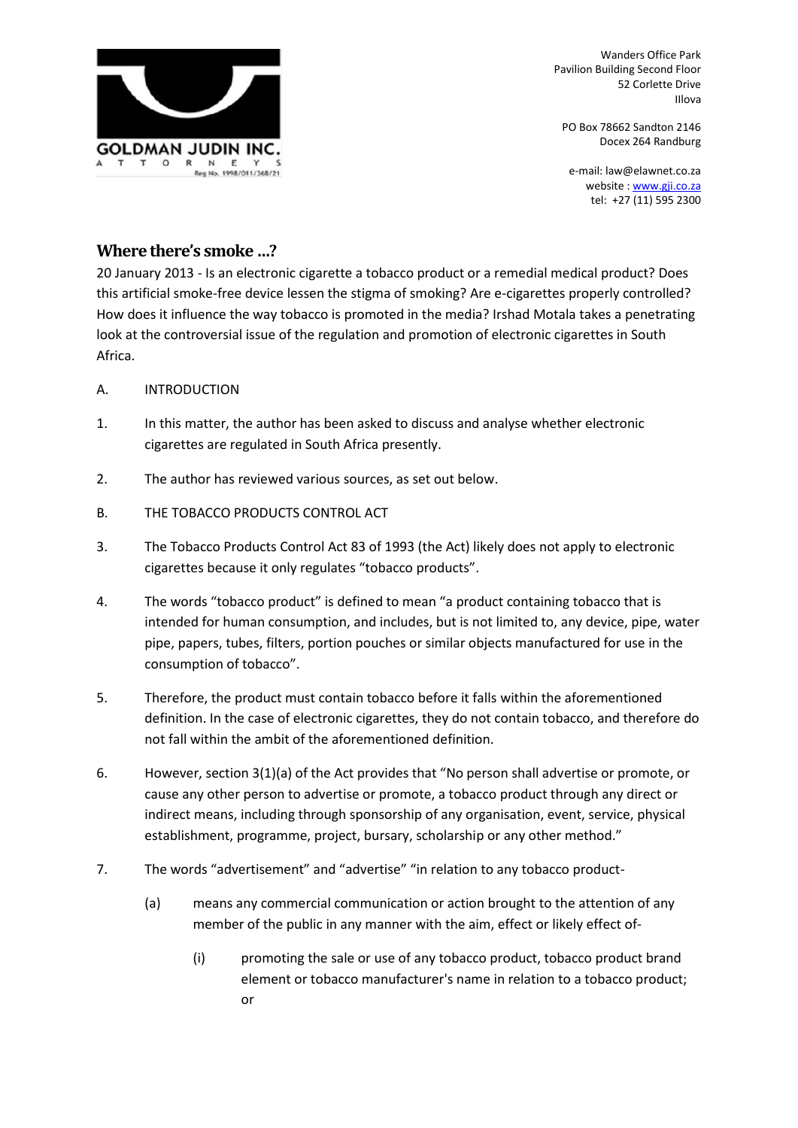

Wanders Office Park Pavilion Building Second Floor 52 Corlette Drive IIlova

PO Box 78662 Sandton 2146 Docex 264 Randburg

e-mail: law@elawnet.co.za website : www.gji.co.za tel: +27 (11) 595 2300

## **Where there's smoke …?**

20 January 2013 - Is an electronic cigarette a tobacco product or a remedial medical product? Does this artificial smoke-free device lessen the stigma of smoking? Are e-cigarettes properly controlled? How does it influence the way tobacco is promoted in the media? Irshad Motala takes a penetrating look at the controversial issue of the regulation and promotion of electronic cigarettes in South Africa.

## A. INTRODUCTION

- 1. In this matter, the author has been asked to discuss and analyse whether electronic cigarettes are regulated in South Africa presently.
- 2. The author has reviewed various sources, as set out below.
- B. THE TOBACCO PRODUCTS CONTROL ACT
- 3. The Tobacco Products Control Act 83 of 1993 (the Act) likely does not apply to electronic cigarettes because it only regulates "tobacco products".
- 4. The words "tobacco product" is defined to mean "a product containing tobacco that is intended for human consumption, and includes, but is not limited to, any device, pipe, water pipe, papers, tubes, filters, portion pouches or similar objects manufactured for use in the consumption of tobacco".
- 5. Therefore, the product must contain tobacco before it falls within the aforementioned definition. In the case of electronic cigarettes, they do not contain tobacco, and therefore do not fall within the ambit of the aforementioned definition.
- 6. However, section 3(1)(a) of the Act provides that "No person shall advertise or promote, or cause any other person to advertise or promote, a tobacco product through any direct or indirect means, including through sponsorship of any organisation, event, service, physical establishment, programme, project, bursary, scholarship or any other method."
- 7. The words "advertisement" and "advertise" "in relation to any tobacco product-
	- (a) means any commercial communication or action brought to the attention of any member of the public in any manner with the aim, effect or likely effect of-
		- (i) promoting the sale or use of any tobacco product, tobacco product brand element or tobacco manufacturer's name in relation to a tobacco product; or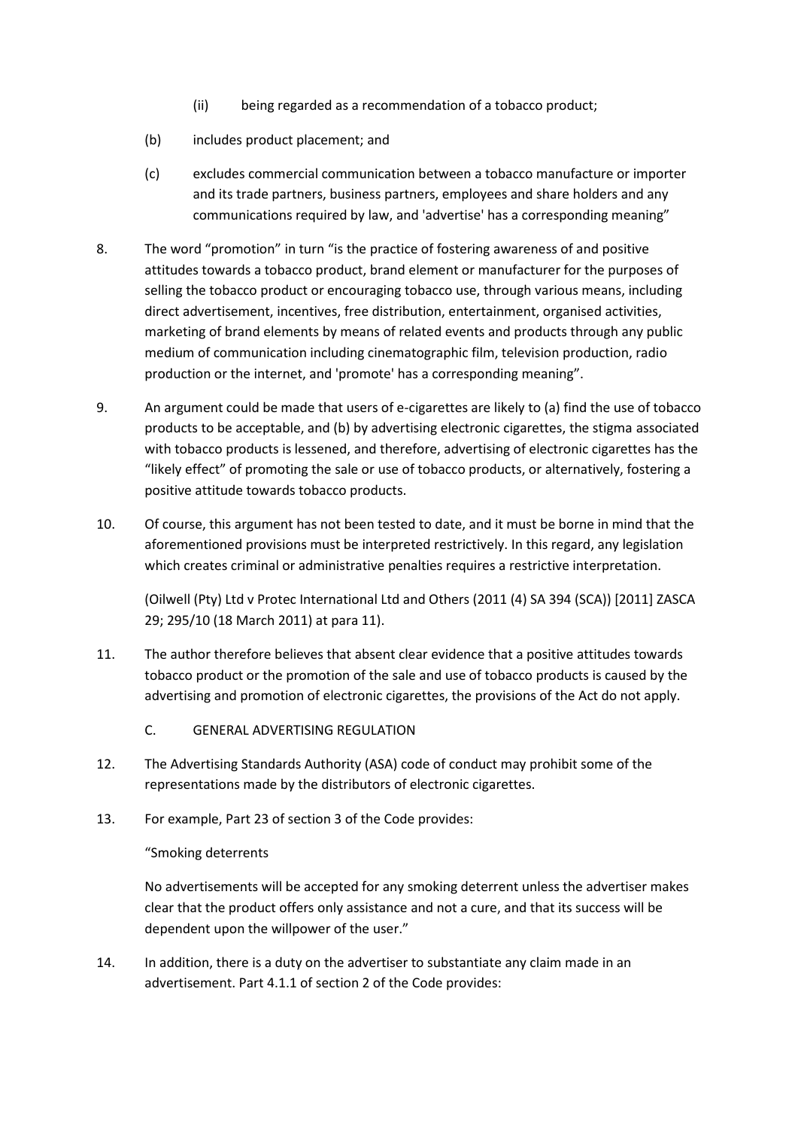- (ii) being regarded as a recommendation of a tobacco product;
- (b) includes product placement; and
- (c) excludes commercial communication between a tobacco manufacture or importer and its trade partners, business partners, employees and share holders and any communications required by law, and 'advertise' has a corresponding meaning"
- 8. The word "promotion" in turn "is the practice of fostering awareness of and positive attitudes towards a tobacco product, brand element or manufacturer for the purposes of selling the tobacco product or encouraging tobacco use, through various means, including direct advertisement, incentives, free distribution, entertainment, organised activities, marketing of brand elements by means of related events and products through any public medium of communication including cinematographic film, television production, radio production or the internet, and 'promote' has a corresponding meaning".
- 9. An argument could be made that users of e-cigarettes are likely to (a) find the use of tobacco products to be acceptable, and (b) by advertising electronic cigarettes, the stigma associated with tobacco products is lessened, and therefore, advertising of electronic cigarettes has the "likely effect" of promoting the sale or use of tobacco products, or alternatively, fostering a positive attitude towards tobacco products.
- 10. Of course, this argument has not been tested to date, and it must be borne in mind that the aforementioned provisions must be interpreted restrictively. In this regard, any legislation which creates criminal or administrative penalties requires a restrictive interpretation.

(Oilwell (Pty) Ltd v Protec International Ltd and Others (2011 (4) SA 394 (SCA)) [2011] ZASCA 29; 295/10 (18 March 2011) at para 11).

- 11. The author therefore believes that absent clear evidence that a positive attitudes towards tobacco product or the promotion of the sale and use of tobacco products is caused by the advertising and promotion of electronic cigarettes, the provisions of the Act do not apply.
	- C. GENERAL ADVERTISING REGULATION
- 12. The Advertising Standards Authority (ASA) code of conduct may prohibit some of the representations made by the distributors of electronic cigarettes.
- 13. For example, Part 23 of section 3 of the Code provides:

## "Smoking deterrents

No advertisements will be accepted for any smoking deterrent unless the advertiser makes clear that the product offers only assistance and not a cure, and that its success will be dependent upon the willpower of the user."

14. In addition, there is a duty on the advertiser to substantiate any claim made in an advertisement. Part 4.1.1 of section 2 of the Code provides: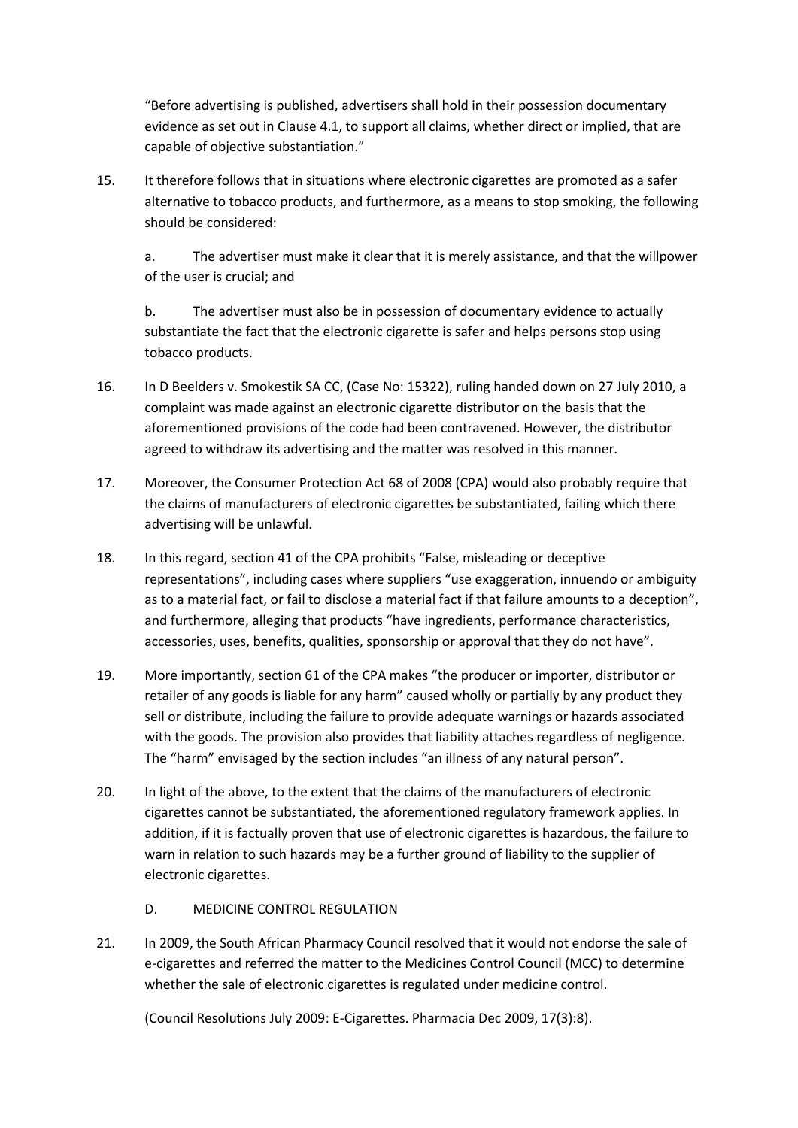"Before advertising is published, advertisers shall hold in their possession documentary evidence as set out in Clause 4.1, to support all claims, whether direct or implied, that are capable of objective substantiation."

15. It therefore follows that in situations where electronic cigarettes are promoted as a safer alternative to tobacco products, and furthermore, as a means to stop smoking, the following should be considered:

a. The advertiser must make it clear that it is merely assistance, and that the willpower of the user is crucial; and

b. The advertiser must also be in possession of documentary evidence to actually substantiate the fact that the electronic cigarette is safer and helps persons stop using tobacco products.

- 16. In D Beelders v. Smokestik SA CC, (Case No: 15322), ruling handed down on 27 July 2010, a complaint was made against an electronic cigarette distributor on the basis that the aforementioned provisions of the code had been contravened. However, the distributor agreed to withdraw its advertising and the matter was resolved in this manner.
- 17. Moreover, the Consumer Protection Act 68 of 2008 (CPA) would also probably require that the claims of manufacturers of electronic cigarettes be substantiated, failing which there advertising will be unlawful.
- 18. In this regard, section 41 of the CPA prohibits "False, misleading or deceptive representations", including cases where suppliers "use exaggeration, innuendo or ambiguity as to a material fact, or fail to disclose a material fact if that failure amounts to a deception", and furthermore, alleging that products "have ingredients, performance characteristics, accessories, uses, benefits, qualities, sponsorship or approval that they do not have".
- 19. More importantly, section 61 of the CPA makes "the producer or importer, distributor or retailer of any goods is liable for any harm" caused wholly or partially by any product they sell or distribute, including the failure to provide adequate warnings or hazards associated with the goods. The provision also provides that liability attaches regardless of negligence. The "harm" envisaged by the section includes "an illness of any natural person".
- 20. In light of the above, to the extent that the claims of the manufacturers of electronic cigarettes cannot be substantiated, the aforementioned regulatory framework applies. In addition, if it is factually proven that use of electronic cigarettes is hazardous, the failure to warn in relation to such hazards may be a further ground of liability to the supplier of electronic cigarettes.
	- D. MEDICINE CONTROL REGULATION
- 21. In 2009, the South African Pharmacy Council resolved that it would not endorse the sale of e-cigarettes and referred the matter to the Medicines Control Council (MCC) to determine whether the sale of electronic cigarettes is regulated under medicine control.

(Council Resolutions July 2009: E-Cigarettes. Pharmacia Dec 2009, 17(3):8).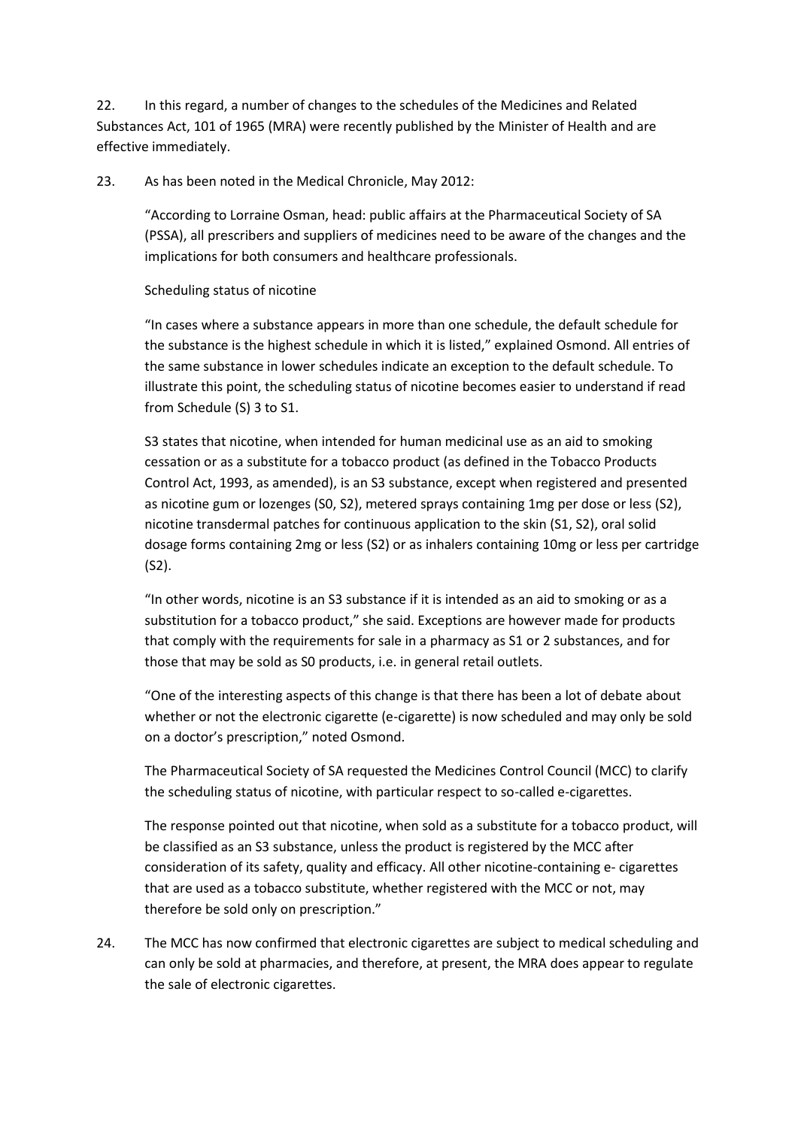22. In this regard, a number of changes to the schedules of the Medicines and Related Substances Act, 101 of 1965 (MRA) were recently published by the Minister of Health and are effective immediately.

23. As has been noted in the Medical Chronicle, May 2012:

"According to Lorraine Osman, head: public affairs at the Pharmaceutical Society of SA (PSSA), all prescribers and suppliers of medicines need to be aware of the changes and the implications for both consumers and healthcare professionals.

## Scheduling status of nicotine

"In cases where a substance appears in more than one schedule, the default schedule for the substance is the highest schedule in which it is listed," explained Osmond. All entries of the same substance in lower schedules indicate an exception to the default schedule. To illustrate this point, the scheduling status of nicotine becomes easier to understand if read from Schedule (S) 3 to S1.

S3 states that nicotine, when intended for human medicinal use as an aid to smoking cessation or as a substitute for a tobacco product (as defined in the Tobacco Products Control Act, 1993, as amended), is an S3 substance, except when registered and presented as nicotine gum or lozenges (S0, S2), metered sprays containing 1mg per dose or less (S2), nicotine transdermal patches for continuous application to the skin (S1, S2), oral solid dosage forms containing 2mg or less (S2) or as inhalers containing 10mg or less per cartridge (S2).

"In other words, nicotine is an S3 substance if it is intended as an aid to smoking or as a substitution for a tobacco product," she said. Exceptions are however made for products that comply with the requirements for sale in a pharmacy as S1 or 2 substances, and for those that may be sold as S0 products, i.e. in general retail outlets.

"One of the interesting aspects of this change is that there has been a lot of debate about whether or not the electronic cigarette (e-cigarette) is now scheduled and may only be sold on a doctor's prescription," noted Osmond.

The Pharmaceutical Society of SA requested the Medicines Control Council (MCC) to clarify the scheduling status of nicotine, with particular respect to so-called e-cigarettes.

The response pointed out that nicotine, when sold as a substitute for a tobacco product, will be classified as an S3 substance, unless the product is registered by the MCC after consideration of its safety, quality and efficacy. All other nicotine-containing e- cigarettes that are used as a tobacco substitute, whether registered with the MCC or not, may therefore be sold only on prescription."

24. The MCC has now confirmed that electronic cigarettes are subject to medical scheduling and can only be sold at pharmacies, and therefore, at present, the MRA does appear to regulate the sale of electronic cigarettes.